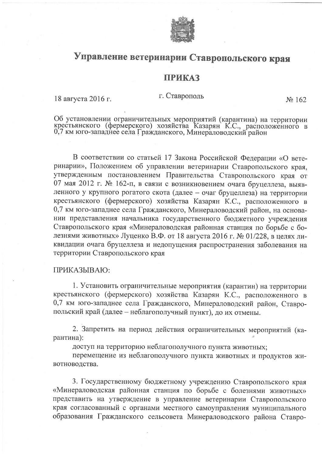

## Управление ветеринарии Ставропольского края

## **ПРИКАЗ**

## г. Ставрополь

No 162

Об установлении ограничительных мероприятий (карантина) на территории<br>крестьянского (фермерского) хозяйства Казарян К.С., расположенного в<br>0,7 км юго-западнее села Гражданского, Минераловодский район

В соответствии со статьей 17 Закона Российской Федерации «О ветеринарии», Положением об управлении ветеринарии Ставропольского края, утвержденным постановлением Правительства Ставропольского края от 07 мая 2012 г. № 162-п, в связи с возникновением очага бруцеллеза, выявленного у крупного рогатого скота (далее - очаг бруцеллеза) на территории крестьянского (фермерского) хозяйства Казарян К.С., расположенного в 0,7 км юго-западнее села Гражданского, Минераловодский район, на основании представления начальника государственного бюджетного учреждения Ставропольского края «Минераловодская районная станция по борьбе с болезнями животных» Луценко В.Ф. от 18 августа 2016 г. № 01/228, в целях ликвидации очага бруцеллеза и недопущения распространения заболевания на территории Ставропольского края

## ПРИКАЗЫВАЮ:

18 августа 2016 г.

1. Установить ограничительные мероприятия (карантин) на территории крестьянского (фермерского) хозяйства Казарян К.С., расположенного в 0,7 км юго-западнее села Гражданского, Минераловодский район, Ставропольский край (далее - неблагополучный пункт), до их отмены.

2. Запретить на период действия ограничительных мероприятий (карантина):

доступ на территорию неблагополучного пункта животных;

перемещение из неблагополучного пункта животных и продуктов животноводства.

3. Государственному бюджетному учреждению Ставропольского края «Минераловодская районная станция по борьбе с болезнями животных» представить на утверждение в управление ветеринарии Ставропольского края согласованный с органами местного самоуправления муниципального образования Гражданского сельсовета Минераловодского района Ставро